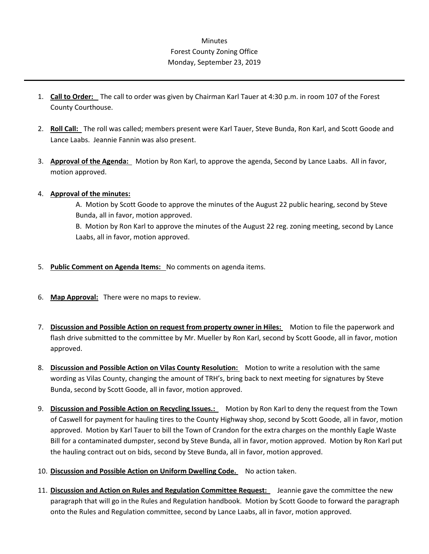## **Minutes** Forest County Zoning Office Monday, September 23, 2019

- 1. **Call to Order:** The call to order was given by Chairman Karl Tauer at 4:30 p.m. in room 107 of the Forest County Courthouse.
- 2. **Roll Call:** The roll was called; members present were Karl Tauer, Steve Bunda, Ron Karl, and Scott Goode and Lance Laabs. Jeannie Fannin was also present.
- 3. **Approval of the Agenda:** Motion by Ron Karl, to approve the agenda, Second by Lance Laabs. All in favor, motion approved.

## 4. **Approval of the minutes:**

A. Motion by Scott Goode to approve the minutes of the August 22 public hearing, second by Steve Bunda, all in favor, motion approved.

B. Motion by Ron Karl to approve the minutes of the August 22 reg. zoning meeting, second by Lance Laabs, all in favor, motion approved.

- 5. **Public Comment on Agenda Items:** No comments on agenda items.
- 6. **Map Approval:** There were no maps to review.
- 7. **Discussion and Possible Action on request from property owner in Hiles:** Motion to file the paperwork and flash drive submitted to the committee by Mr. Mueller by Ron Karl, second by Scott Goode, all in favor, motion approved.
- 8. **Discussion and Possible Action on Vilas County Resolution:** Motion to write a resolution with the same wording as Vilas County, changing the amount of TRH's, bring back to next meeting for signatures by Steve Bunda, second by Scott Goode, all in favor, motion approved.
- 9. **Discussion and Possible Action on Recycling Issues.:** Motion by Ron Karl to deny the request from the Town of Caswell for payment for hauling tires to the County Highway shop, second by Scott Goode, all in favor, motion approved. Motion by Karl Tauer to bill the Town of Crandon for the extra charges on the monthly Eagle Waste Bill for a contaminated dumpster, second by Steve Bunda, all in favor, motion approved. Motion by Ron Karl put the hauling contract out on bids, second by Steve Bunda, all in favor, motion approved.
- 10. **Discussion and Possible Action on Uniform Dwelling Code.** No action taken.
- 11. **Discussion and Action on Rules and Regulation Committee Request:** Jeannie gave the committee the new paragraph that will go in the Rules and Regulation handbook. Motion by Scott Goode to forward the paragraph onto the Rules and Regulation committee, second by Lance Laabs, all in favor, motion approved.